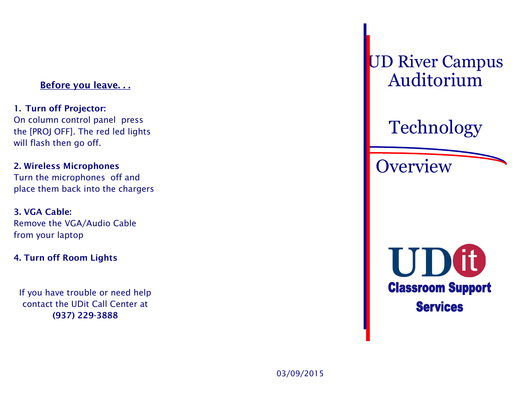# **Before you leave. . .**

**1. Turn off Projector:**  On column control panel press the [PROJ OFF]. The red led lights will flash then go off.

**2. Wireless Microphones** Turn the microphones off and place them back into the chargers

**3. VGA Cable:** Remove the VGA/Audio Cable from your laptop

**4. Turn off Room Lights**

If you have trouble or need help contact the UDit Call Center at **(937) 229-3888**

UD River Campus Auditorium

# Technology

**Overview**